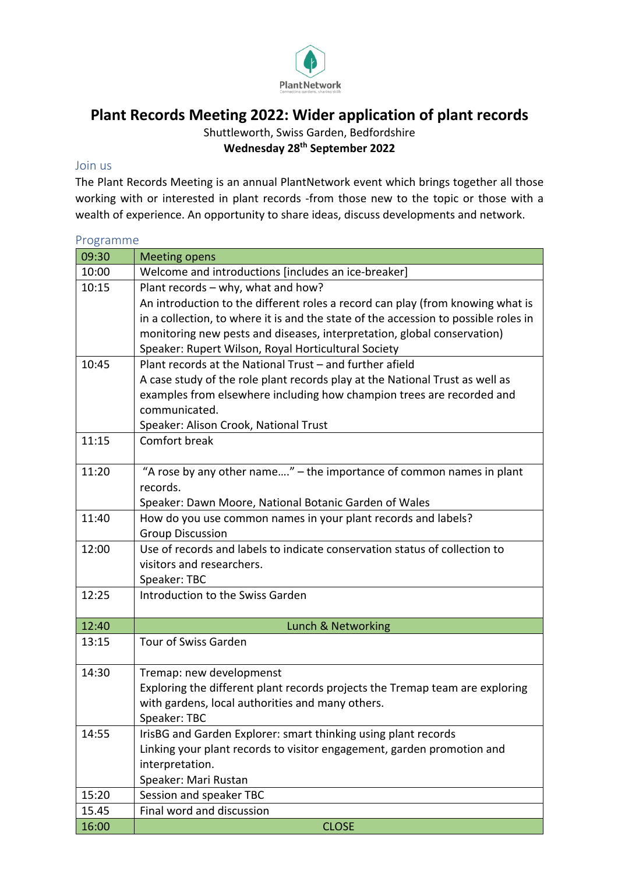

## **Plant Records Meeting 2022: Wider application of plant records**

Shuttleworth, Swiss Garden, Bedfordshire **Wednesday 28th September 2022**

## Join us

The Plant Records Meeting is an annual PlantNetwork event which brings together all those working with or interested in plant records -from those new to the topic or those with a wealth of experience. An opportunity to share ideas, discuss developments and network.

## Programme 09:30 | Meeting opens

| 10:00 | Welcome and introductions [includes an ice-breaker]                                 |
|-------|-------------------------------------------------------------------------------------|
| 10:15 | Plant records - why, what and how?                                                  |
|       | An introduction to the different roles a record can play (from knowing what is      |
|       | in a collection, to where it is and the state of the accession to possible roles in |
|       | monitoring new pests and diseases, interpretation, global conservation)             |
|       | Speaker: Rupert Wilson, Royal Horticultural Society                                 |
| 10:45 | Plant records at the National Trust - and further afield                            |
|       | A case study of the role plant records play at the National Trust as well as        |
|       | examples from elsewhere including how champion trees are recorded and               |
|       | communicated.                                                                       |
|       | Speaker: Alison Crook, National Trust                                               |
| 11:15 | Comfort break                                                                       |
|       |                                                                                     |
| 11:20 | "A rose by any other name" - the importance of common names in plant                |
|       | records.                                                                            |
|       | Speaker: Dawn Moore, National Botanic Garden of Wales                               |
| 11:40 | How do you use common names in your plant records and labels?                       |
|       | <b>Group Discussion</b>                                                             |
| 12:00 | Use of records and labels to indicate conservation status of collection to          |
|       | visitors and researchers.                                                           |
|       | Speaker: TBC                                                                        |
| 12:25 | Introduction to the Swiss Garden                                                    |
|       |                                                                                     |
| 12:40 | Lunch & Networking                                                                  |
| 13:15 | Tour of Swiss Garden                                                                |
| 14:30 | Tremap: new developmenst                                                            |
|       | Exploring the different plant records projects the Tremap team are exploring        |
|       | with gardens, local authorities and many others.                                    |
|       | Speaker: TBC                                                                        |
| 14:55 | IrisBG and Garden Explorer: smart thinking using plant records                      |
|       | Linking your plant records to visitor engagement, garden promotion and              |
|       | interpretation.                                                                     |
|       | Speaker: Mari Rustan                                                                |
| 15:20 | Session and speaker TBC                                                             |
| 15.45 | Final word and discussion                                                           |
| 16:00 | <b>CLOSE</b>                                                                        |